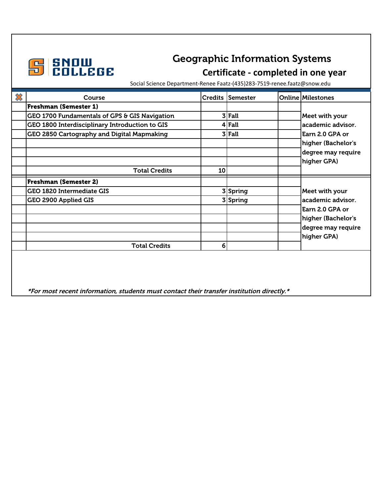

## **GEOGRAPHIC CECCE**<br>Geographic Information Systems<br>Certificate - completed in one y **Certificate - completed in one year**

Social Science Department-Renee Faatz-(435)283-7519-renee.faatz@snow.edu

| X | Course                                                                                    |                | Credits Semester | <b>Online Milestones</b> |
|---|-------------------------------------------------------------------------------------------|----------------|------------------|--------------------------|
|   | <b>Freshman (Semester 1)</b>                                                              |                |                  |                          |
|   | GEO 1700 Fundamentals of GPS & GIS Navigation                                             |                | $3$ Fall         | Meet with your           |
|   | GEO 1800 Interdisciplinary Introduction to GIS                                            |                | $4$ Fall         | academic advisor.        |
|   | GEO 2850 Cartography and Digital Mapmaking                                                |                | $3$ Fall         | Earn 2.0 GPA or          |
|   |                                                                                           |                |                  | higher (Bachelor's       |
|   |                                                                                           |                |                  | degree may require       |
|   |                                                                                           |                |                  | higher GPA)              |
|   | <b>Total Credits</b>                                                                      | 10             |                  |                          |
|   | <b>Freshman (Semester 2)</b>                                                              |                |                  |                          |
|   | <b>GEO 1820 Intermediate GIS</b>                                                          |                | 3 Spring         | Meet with your           |
|   | GEO 2900 Applied GIS                                                                      |                | 3 Spring         | academic advisor.        |
|   |                                                                                           |                |                  | Earn 2.0 GPA or          |
|   |                                                                                           |                |                  | higher (Bachelor's       |
|   |                                                                                           |                |                  | degree may require       |
|   |                                                                                           |                |                  | higher GPA)              |
|   | <b>Total Credits</b>                                                                      | 6 <sup>1</sup> |                  |                          |
|   |                                                                                           |                |                  |                          |
|   |                                                                                           |                |                  |                          |
|   |                                                                                           |                |                  |                          |
|   |                                                                                           |                |                  |                          |
|   | *For most recent information, students must contact their transfer institution directly.* |                |                  |                          |